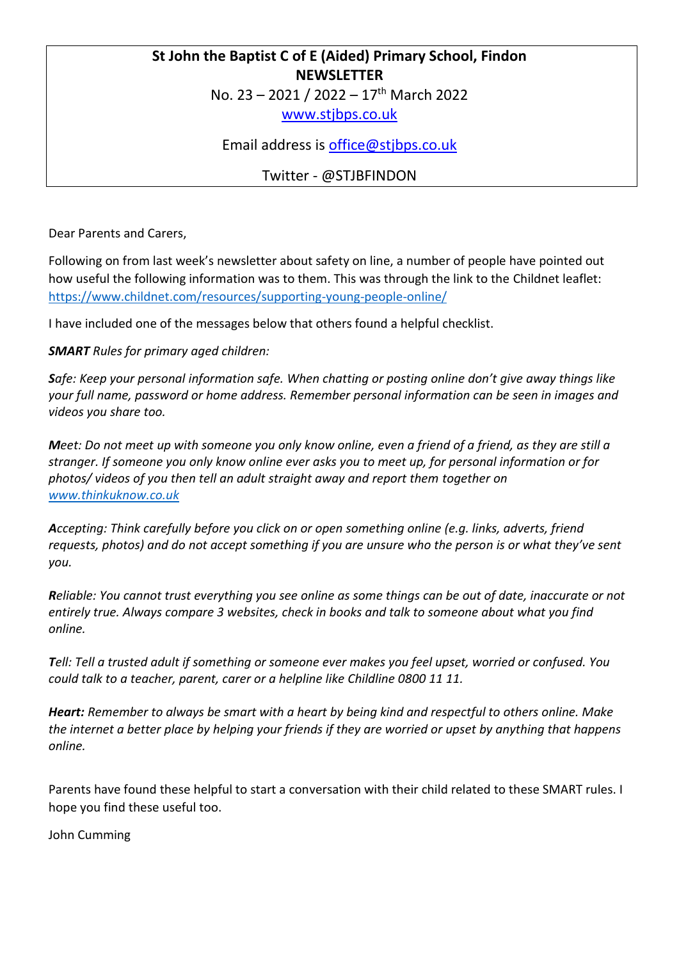#### **St John the Baptist C of E (Aided) Primary School, Findon NEWSLETTER**

No. 23 - 2021 / 2022 - 17<sup>th</sup> March 2022

[www.stjbps.co.uk](http://www.stjbps.co.uk/)

Email address is [office@stjbps.co.uk](mailto:office@stjbps.co.uk)

Twitter - @STJBFINDON

Dear Parents and Carers,

Following on from last week's newsletter about safety on line, a number of people have pointed out how useful the following information was to them. This was through the link to the Childnet leaflet: <https://www.childnet.com/resources/supporting-young-people-online/>

I have included one of the messages below that others found a helpful checklist.

#### *SMART Rules for primary aged children:*

*Safe: Keep your personal information safe. When chatting or posting online don't give away things like your full name, password or home address. Remember personal information can be seen in images and videos you share too.*

*Meet: Do not meet up with someone you only know online, even a friend of a friend, as they are still a stranger. If someone you only know online ever asks you to meet up, for personal information or for photos/ videos of you then tell an adult straight away and report them together on [www.thinkuknow.co.uk](http://www.thinkuknow.co.uk/)*

*Accepting: Think carefully before you click on or open something online (e.g. links, adverts, friend requests, photos) and do not accept something if you are unsure who the person is or what they've sent you.*

*Reliable: You cannot trust everything you see online as some things can be out of date, inaccurate or not entirely true. Always compare 3 websites, check in books and talk to someone about what you find online.*

*Tell: Tell a trusted adult if something or someone ever makes you feel upset, worried or confused. You could talk to a teacher, parent, carer or a helpline like Childline 0800 11 11.*

*Heart: Remember to always be smart with a heart by being kind and respectful to others online. Make the internet a better place by helping your friends if they are worried or upset by anything that happens online.*

Parents have found these helpful to start a conversation with their child related to these SMART rules. I hope you find these useful too.

John Cumming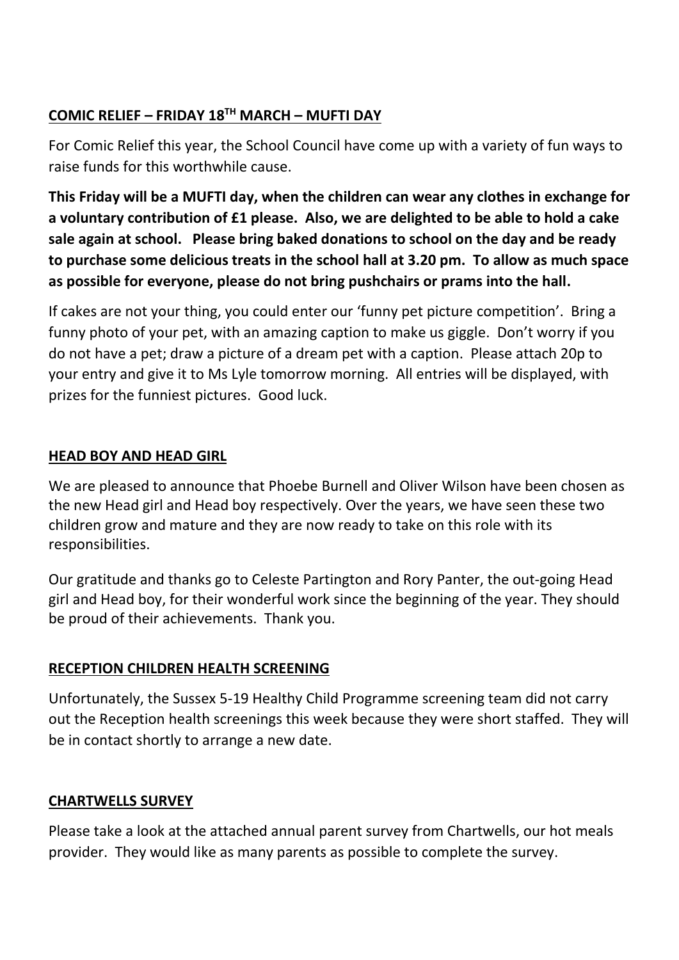# **COMIC RELIEF – FRIDAY 18TH MARCH – MUFTI DAY**

For Comic Relief this year, the School Council have come up with a variety of fun ways to raise funds for this worthwhile cause.

**This Friday will be a MUFTI day, when the children can wear any clothes in exchange for a voluntary contribution of £1 please. Also, we are delighted to be able to hold a cake sale again at school. Please bring baked donations to school on the day and be ready to purchase some delicious treats in the school hall at 3.20 pm. To allow as much space as possible for everyone, please do not bring pushchairs or prams into the hall.**

If cakes are not your thing, you could enter our 'funny pet picture competition'. Bring a funny photo of your pet, with an amazing caption to make us giggle. Don't worry if you do not have a pet; draw a picture of a dream pet with a caption. Please attach 20p to your entry and give it to Ms Lyle tomorrow morning. All entries will be displayed, with prizes for the funniest pictures. Good luck.

## **HEAD BOY AND HEAD GIRL**

We are pleased to announce that Phoebe Burnell and Oliver Wilson have been chosen as the new Head girl and Head boy respectively. Over the years, we have seen these two children grow and mature and they are now ready to take on this role with its responsibilities.

Our gratitude and thanks go to Celeste Partington and Rory Panter, the out-going Head girl and Head boy, for their wonderful work since the beginning of the year. They should be proud of their achievements. Thank you.

# **RECEPTION CHILDREN HEALTH SCREENING**

Unfortunately, the Sussex 5-19 Healthy Child Programme screening team did not carry out the Reception health screenings this week because they were short staffed. They will be in contact shortly to arrange a new date.

### **CHARTWELLS SURVEY**

Please take a look at the attached annual parent survey from Chartwells, our hot meals provider. They would like as many parents as possible to complete the survey.